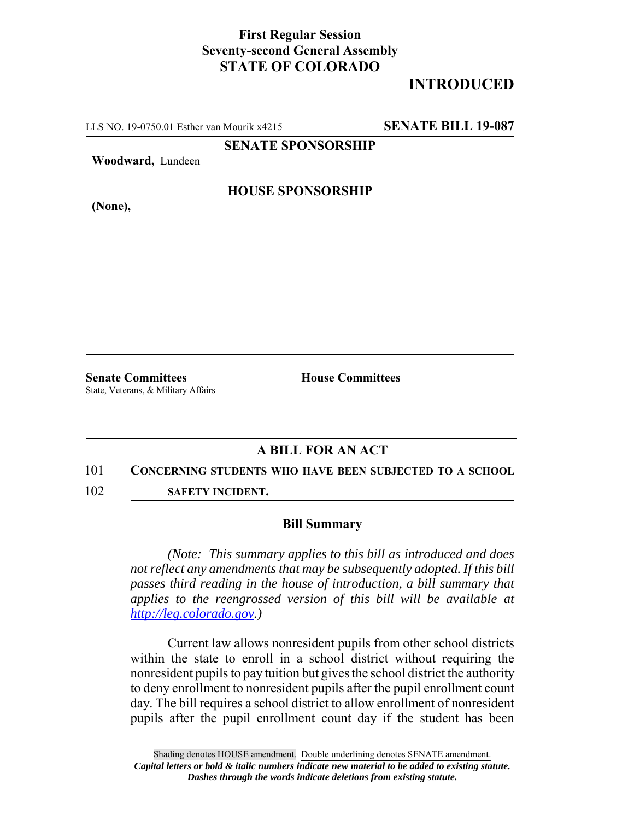## **First Regular Session Seventy-second General Assembly STATE OF COLORADO**

# **INTRODUCED**

LLS NO. 19-0750.01 Esther van Mourik x4215 **SENATE BILL 19-087**

**SENATE SPONSORSHIP**

**Woodward,** Lundeen

**HOUSE SPONSORSHIP**

**(None),**

**Senate Committees House Committees** State, Veterans, & Military Affairs

### **A BILL FOR AN ACT**

### 101 **CONCERNING STUDENTS WHO HAVE BEEN SUBJECTED TO A SCHOOL**

102 **SAFETY INCIDENT.**

### **Bill Summary**

*(Note: This summary applies to this bill as introduced and does not reflect any amendments that may be subsequently adopted. If this bill passes third reading in the house of introduction, a bill summary that applies to the reengrossed version of this bill will be available at http://leg.colorado.gov.)*

Current law allows nonresident pupils from other school districts within the state to enroll in a school district without requiring the nonresident pupils to pay tuition but gives the school district the authority to deny enrollment to nonresident pupils after the pupil enrollment count day. The bill requires a school district to allow enrollment of nonresident pupils after the pupil enrollment count day if the student has been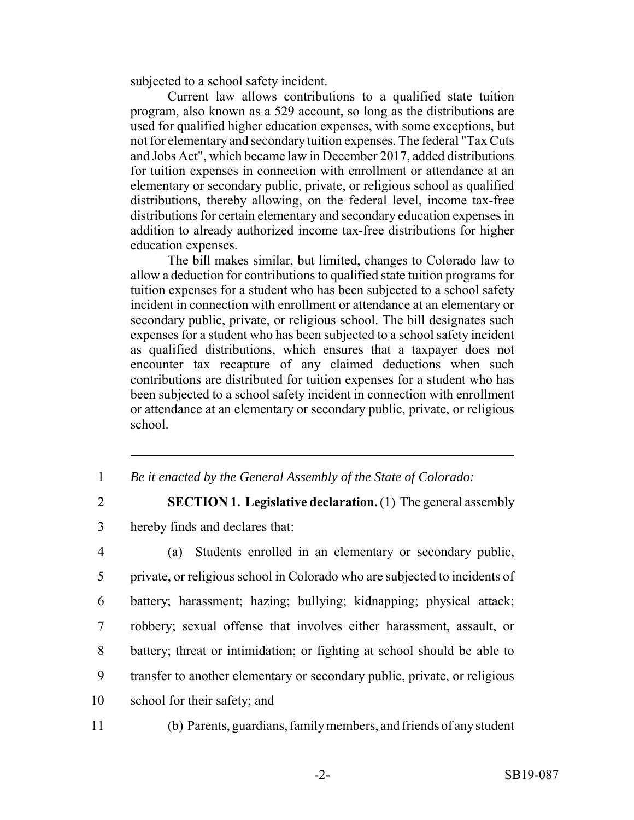subjected to a school safety incident.

Current law allows contributions to a qualified state tuition program, also known as a 529 account, so long as the distributions are used for qualified higher education expenses, with some exceptions, but not for elementary and secondary tuition expenses. The federal "Tax Cuts and Jobs Act", which became law in December 2017, added distributions for tuition expenses in connection with enrollment or attendance at an elementary or secondary public, private, or religious school as qualified distributions, thereby allowing, on the federal level, income tax-free distributions for certain elementary and secondary education expenses in addition to already authorized income tax-free distributions for higher education expenses.

The bill makes similar, but limited, changes to Colorado law to allow a deduction for contributions to qualified state tuition programs for tuition expenses for a student who has been subjected to a school safety incident in connection with enrollment or attendance at an elementary or secondary public, private, or religious school. The bill designates such expenses for a student who has been subjected to a school safety incident as qualified distributions, which ensures that a taxpayer does not encounter tax recapture of any claimed deductions when such contributions are distributed for tuition expenses for a student who has been subjected to a school safety incident in connection with enrollment or attendance at an elementary or secondary public, private, or religious school.

- 1 *Be it enacted by the General Assembly of the State of Colorado:*
- 

2 **SECTION 1. Legislative declaration.** (1) The general assembly 3 hereby finds and declares that:

 (a) Students enrolled in an elementary or secondary public, private, or religious school in Colorado who are subjected to incidents of battery; harassment; hazing; bullying; kidnapping; physical attack; robbery; sexual offense that involves either harassment, assault, or battery; threat or intimidation; or fighting at school should be able to transfer to another elementary or secondary public, private, or religious school for their safety; and

11 (b) Parents, guardians, family members, and friends of any student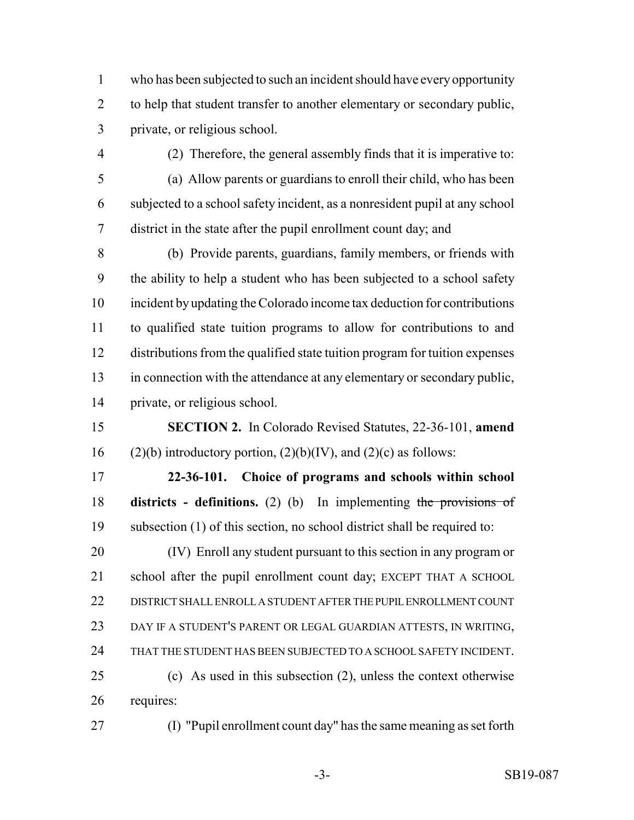who has been subjected to such an incident should have every opportunity to help that student transfer to another elementary or secondary public, private, or religious school.

(2) Therefore, the general assembly finds that it is imperative to:

 (a) Allow parents or guardians to enroll their child, who has been subjected to a school safety incident, as a nonresident pupil at any school district in the state after the pupil enrollment count day; and

 (b) Provide parents, guardians, family members, or friends with the ability to help a student who has been subjected to a school safety incident by updating the Colorado income tax deduction for contributions to qualified state tuition programs to allow for contributions to and distributions from the qualified state tuition program for tuition expenses in connection with the attendance at any elementary or secondary public, private, or religious school.

 **SECTION 2.** In Colorado Revised Statutes, 22-36-101, **amend** 16 (2)(b) introductory portion,  $(2)(b)(IV)$ , and  $(2)(c)$  as follows:

 **22-36-101. Choice of programs and schools within school districts - definitions.** (2) (b) In implementing the provisions of subsection (1) of this section, no school district shall be required to:

 (IV) Enroll any student pursuant to this section in any program or school after the pupil enrollment count day; EXCEPT THAT A SCHOOL DISTRICT SHALL ENROLL A STUDENT AFTER THE PUPIL ENROLLMENT COUNT DAY IF A STUDENT'S PARENT OR LEGAL GUARDIAN ATTESTS, IN WRITING, THAT THE STUDENT HAS BEEN SUBJECTED TO A SCHOOL SAFETY INCIDENT. (c) As used in this subsection (2), unless the context otherwise requires:

(I) "Pupil enrollment count day" has the same meaning as set forth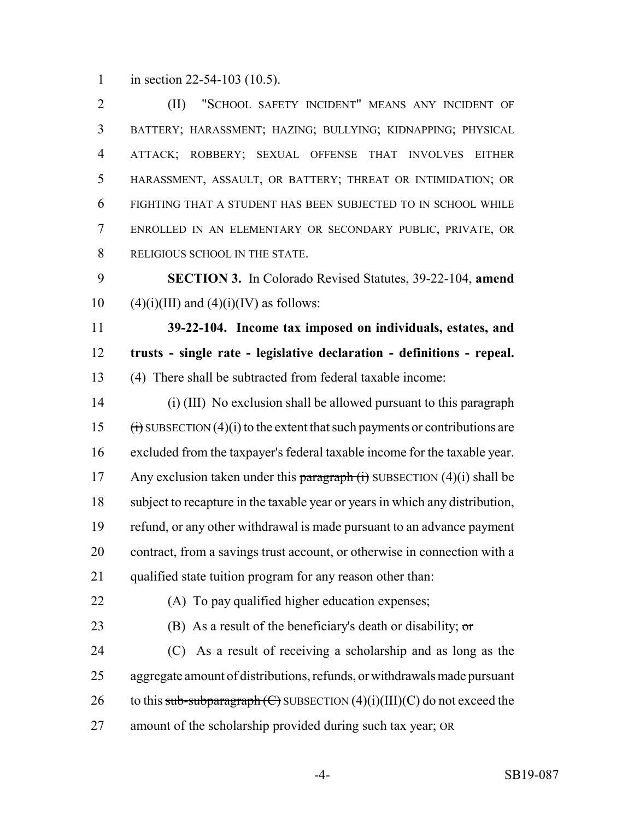1 in section 22-54-103 (10.5).

 (II) "SCHOOL SAFETY INCIDENT" MEANS ANY INCIDENT OF BATTERY; HARASSMENT; HAZING; BULLYING; KIDNAPPING; PHYSICAL ATTACK; ROBBERY; SEXUAL OFFENSE THAT INVOLVES EITHER HARASSMENT, ASSAULT, OR BATTERY; THREAT OR INTIMIDATION; OR FIGHTING THAT A STUDENT HAS BEEN SUBJECTED TO IN SCHOOL WHILE ENROLLED IN AN ELEMENTARY OR SECONDARY PUBLIC, PRIVATE, OR 8 RELIGIOUS SCHOOL IN THE STATE.

 **SECTION 3.** In Colorado Revised Statutes, 39-22-104, **amend** 10 (4)(i)(III) and (4)(i)(IV) as follows:

 **39-22-104. Income tax imposed on individuals, estates, and trusts - single rate - legislative declaration - definitions - repeal.** (4) There shall be subtracted from federal taxable income:

14 (i) (III) No exclusion shall be allowed pursuant to this paragraph  $(i)$  SUBSECTION (4)(i) to the extent that such payments or contributions are excluded from the taxpayer's federal taxable income for the taxable year. 17 Any exclusion taken under this paragraph  $(i)$  SUBSECTION  $(4)(i)$  shall be subject to recapture in the taxable year or years in which any distribution, refund, or any other withdrawal is made pursuant to an advance payment contract, from a savings trust account, or otherwise in connection with a qualified state tuition program for any reason other than:

(A) To pay qualified higher education expenses;

23 (B) As a result of the beneficiary's death or disability;  $\sigma$ 

 (C) As a result of receiving a scholarship and as long as the aggregate amount of distributions, refunds, or withdrawals made pursuant 26 to this sub-subparagraph  $\left(\frac{C}{C}\right)$  SUBSECTION  $(4)(i)(III)(C)$  do not exceed the amount of the scholarship provided during such tax year; OR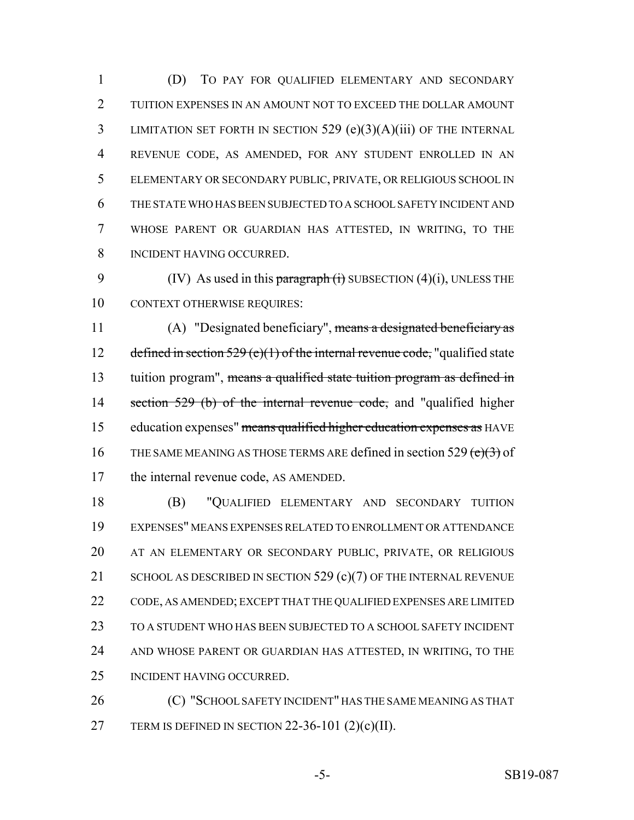(D) TO PAY FOR QUALIFIED ELEMENTARY AND SECONDARY TUITION EXPENSES IN AN AMOUNT NOT TO EXCEED THE DOLLAR AMOUNT LIMITATION SET FORTH IN SECTION 529 (e)(3)(A)(iii) OF THE INTERNAL REVENUE CODE, AS AMENDED, FOR ANY STUDENT ENROLLED IN AN ELEMENTARY OR SECONDARY PUBLIC, PRIVATE, OR RELIGIOUS SCHOOL IN THE STATE WHO HAS BEEN SUBJECTED TO A SCHOOL SAFETY INCIDENT AND WHOSE PARENT OR GUARDIAN HAS ATTESTED, IN WRITING, TO THE INCIDENT HAVING OCCURRED.

9 (IV) As used in this paragraph  $(i)$  SUBSECTION  $(4)(i)$ , UNLESS THE 10 CONTEXT OTHERWISE REQUIRES:

 (A) "Designated beneficiary", means a designated beneficiary as 12 defined in section (e)(1) of the internal revenue code, "qualified state 13 tuition program", means a qualified state tuition program as defined in 14 section 529 (b) of the internal revenue code, and "qualified higher education expenses" means qualified higher education expenses as HAVE 16 THE SAME MEANING AS THOSE TERMS ARE defined in section 529  $(e)(3)$  of the internal revenue code, AS AMENDED.

 (B) "QUALIFIED ELEMENTARY AND SECONDARY TUITION EXPENSES" MEANS EXPENSES RELATED TO ENROLLMENT OR ATTENDANCE AT AN ELEMENTARY OR SECONDARY PUBLIC, PRIVATE, OR RELIGIOUS 21 SCHOOL AS DESCRIBED IN SECTION 529 (c)(7) OF THE INTERNAL REVENUE CODE, AS AMENDED; EXCEPT THAT THE QUALIFIED EXPENSES ARE LIMITED TO A STUDENT WHO HAS BEEN SUBJECTED TO A SCHOOL SAFETY INCIDENT AND WHOSE PARENT OR GUARDIAN HAS ATTESTED, IN WRITING, TO THE INCIDENT HAVING OCCURRED.

**(C) "SCHOOL SAFETY INCIDENT" HAS THE SAME MEANING AS THAT** 27 TERM IS DEFINED IN SECTION 22-36-101  $(2)(c)(II)$ .